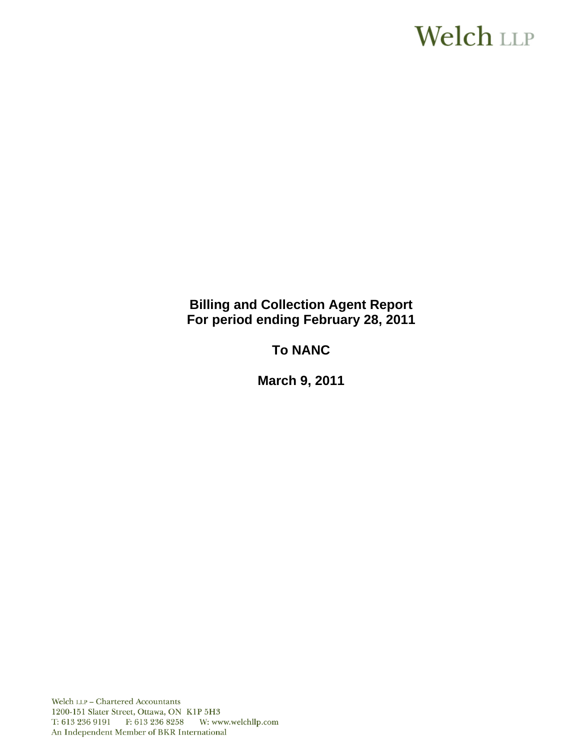# Welch LLP

# **Billing and Collection Agent Report For period ending February 28, 2011**

# **To NANC**

**March 9, 2011**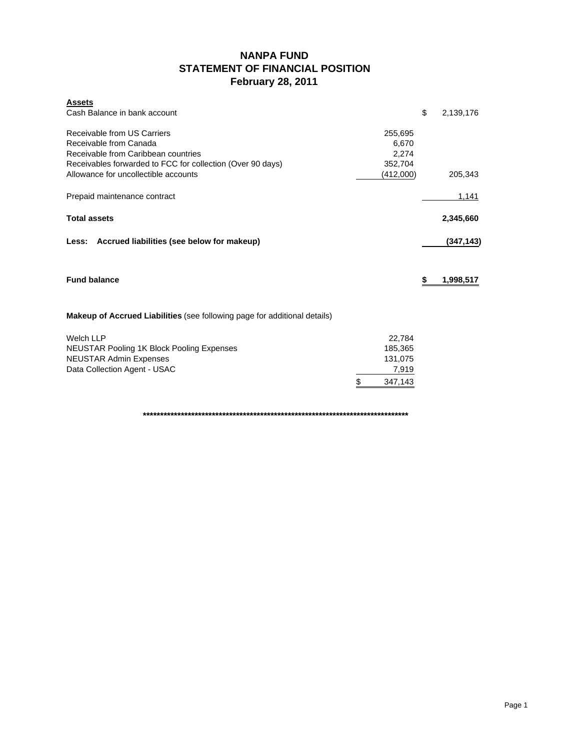# **NANPA FUND STATEMENT OF FINANCIAL POSITION February 28, 2011**

| \$<br>Cash Balance in bank account<br>2,139,176<br>Receivable from US Carriers<br>255,695<br>Receivable from Canada<br>6,670<br>Receivable from Caribbean countries<br>2,274<br>Receivables forwarded to FCC for collection (Over 90 days)<br>352,704<br>Allowance for uncollectible accounts<br>(412,000)<br>205,343<br>Prepaid maintenance contract<br>1,141<br><b>Total assets</b><br>2,345,660<br>Less: Accrued liabilities (see below for makeup)<br><b>Fund balance</b><br>\$<br>1,998,517<br><b>Makeup of Accrued Liabilities</b> (see following page for additional details)<br><b>Welch LLP</b><br>22,784 | <b>Assets</b> |  |            |
|--------------------------------------------------------------------------------------------------------------------------------------------------------------------------------------------------------------------------------------------------------------------------------------------------------------------------------------------------------------------------------------------------------------------------------------------------------------------------------------------------------------------------------------------------------------------------------------------------------------------|---------------|--|------------|
|                                                                                                                                                                                                                                                                                                                                                                                                                                                                                                                                                                                                                    |               |  |            |
|                                                                                                                                                                                                                                                                                                                                                                                                                                                                                                                                                                                                                    |               |  |            |
|                                                                                                                                                                                                                                                                                                                                                                                                                                                                                                                                                                                                                    |               |  |            |
|                                                                                                                                                                                                                                                                                                                                                                                                                                                                                                                                                                                                                    |               |  |            |
|                                                                                                                                                                                                                                                                                                                                                                                                                                                                                                                                                                                                                    |               |  |            |
|                                                                                                                                                                                                                                                                                                                                                                                                                                                                                                                                                                                                                    |               |  |            |
|                                                                                                                                                                                                                                                                                                                                                                                                                                                                                                                                                                                                                    |               |  |            |
|                                                                                                                                                                                                                                                                                                                                                                                                                                                                                                                                                                                                                    |               |  |            |
|                                                                                                                                                                                                                                                                                                                                                                                                                                                                                                                                                                                                                    |               |  | (347, 143) |
|                                                                                                                                                                                                                                                                                                                                                                                                                                                                                                                                                                                                                    |               |  |            |
|                                                                                                                                                                                                                                                                                                                                                                                                                                                                                                                                                                                                                    |               |  |            |
|                                                                                                                                                                                                                                                                                                                                                                                                                                                                                                                                                                                                                    |               |  |            |
| <b>NEUSTAR Pooling 1K Block Pooling Expenses</b><br>185,365                                                                                                                                                                                                                                                                                                                                                                                                                                                                                                                                                        |               |  |            |
| <b>NEUSTAR Admin Expenses</b><br>131,075                                                                                                                                                                                                                                                                                                                                                                                                                                                                                                                                                                           |               |  |            |
| Data Collection Agent - USAC<br>7,919                                                                                                                                                                                                                                                                                                                                                                                                                                                                                                                                                                              |               |  |            |
| \$<br>347,143                                                                                                                                                                                                                                                                                                                                                                                                                                                                                                                                                                                                      |               |  |            |

**\*\*\*\*\*\*\*\*\*\*\*\*\*\*\*\*\*\*\*\*\*\*\*\*\*\*\*\*\*\*\*\*\*\*\*\*\*\*\*\*\*\*\*\*\*\*\*\*\*\*\*\*\*\*\*\*\*\*\*\*\*\*\*\*\*\*\*\*\*\*\*\*\*\*\*\*\***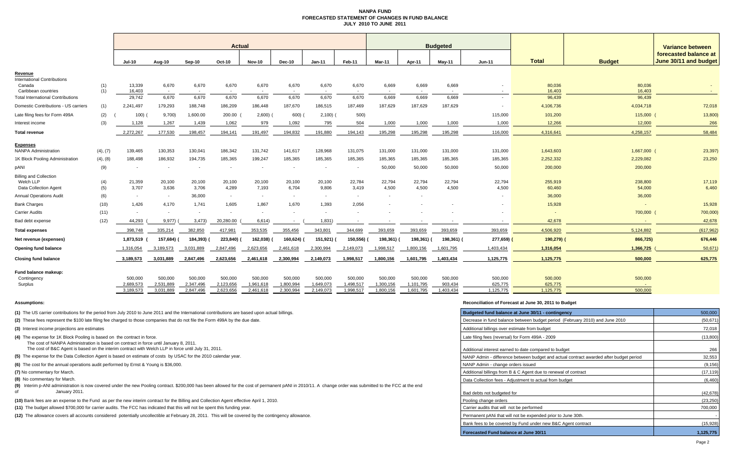### **NANPA FUND FORECASTED STATEMENT OF CHANGES IN FUND BALANCEJULY 2010 TO JUNE 2011**

|                                                                            |            | <b>Actual</b>            |                          |                          |                          |                          |                        |                          |                                   | <b>Budgeted</b>        |                          |                      |                      |                      |                   | <b>Variance between</b>                        |  |
|----------------------------------------------------------------------------|------------|--------------------------|--------------------------|--------------------------|--------------------------|--------------------------|------------------------|--------------------------|-----------------------------------|------------------------|--------------------------|----------------------|----------------------|----------------------|-------------------|------------------------------------------------|--|
|                                                                            |            | <b>Jul-10</b>            | Aug-10                   | Sep-10                   | Oct-10                   | <b>Nov-10</b>            | <b>Dec-10</b>          | $Jan-11$                 | Feb-11                            | <b>Mar-11</b>          | Apr-11                   | $May-11$             | <b>Jun-11</b>        | <b>Total</b>         | <b>Budget</b>     | forecasted balance at<br>June 30/11 and budget |  |
| Revenue                                                                    |            |                          |                          |                          |                          |                          |                        |                          |                                   |                        |                          |                      |                      |                      |                   |                                                |  |
| <b>International Contributions</b><br>Canada<br>Caribbean countries        | (1)<br>(1) | 13,339<br>16,403         | 6,670<br>$\sim$          | 6,670                    | 6,670                    | 6,670<br>$\sim$          | 6,670                  | 6,670                    | 6,670<br>$\overline{\phantom{a}}$ | 6,669                  | 6,669                    | 6,669                |                      | 80,036<br>16,403     | 80,036<br>16,403  |                                                |  |
| <b>Total International Contributions</b>                                   |            | 29,742                   | 6,670                    | 6,670                    | 6,670                    | 6,670                    | 6,670                  | 6,670                    | 6,670                             | 6,669                  | 6,669                    | 6,669                | $\sim$               | 96,439               | 96,439            |                                                |  |
| Domestic Contributions - US carriers                                       | (1)        | 2,241,497                | 179,293                  | 188,748                  | 186,209                  | 186,448                  | 187,670                | 186,515                  | 187,469                           | 187,629                | 187,629                  | 187,629              |                      | 4,106,736            | 4,034,718         | 72,018                                         |  |
| Late filing fees for Form 499A                                             | (2)        | 100(                     | 9,700)                   | 1,600.00                 | 200.00                   | 2,600                    | 600)                   | 2,100                    | 500)                              |                        |                          |                      | 115,000              | 101,200              | 115,000           | 13,800)                                        |  |
| Interest income                                                            | (3)        | 1,128                    | 1,267                    | 1,439                    | 1,062                    | 979                      | 1,092                  | 795                      | 504                               | 1,000                  | 1,000                    | 1,000                | 1,000                | 12,266               | 12,000            | 266                                            |  |
| <b>Total revenue</b>                                                       |            | 2,272,267                | 177,530                  | 198,457                  | 194,141                  | 191,497                  | 194,832                | 191,880                  | 194,143                           | 195,298                | 195,298                  | 195,298              | 116,000              | 4,316,641            | 4,258,157         | 58,484                                         |  |
| <b>Expenses</b><br><b>NANPA Administration</b>                             | (4), (7)   | 139,465                  | 130,353                  | 130,041                  | 186,342                  | 131,742                  | 141,617                | 128,968                  | 131,075                           | 131,000                | 131,000                  | 131,000              | 131,000              | 1,643,603            | 1,667,000         | 23,397)                                        |  |
| 1K Block Pooling Administration                                            | (4), (8)   | 188,498                  | 186,932                  | 194,735                  | 185,365                  | 199,247                  | 185,365                | 185,365                  | 185,365                           | 185,365                | 185,365                  | 185,365              | 185,365              | 2,252,332            | 2,229,082         | 23,250                                         |  |
| pANI                                                                       | (9)        | $\overline{\phantom{a}}$ | $\overline{\phantom{a}}$ |                          |                          | $\overline{\phantom{a}}$ |                        | $\overline{\phantom{a}}$ | $\overline{\phantom{a}}$          | 50,000                 | 50,000                   | 50,000               | 50,000               | 200,000              | 200,000           |                                                |  |
| <b>Billing and Collection</b><br>Welch LLP<br><b>Data Collection Agent</b> | (4)<br>(5) | 21,359<br>3,707          | 20,100<br>3,636          | 20,100<br>3,706          | 20,100<br>4,289          | 20,100<br>7,193          | 20,100<br>6,704        | 20,100<br>9,806          | 22,784<br>3,419                   | 22,794<br>4,500        | 22,794<br>4,500          | 22,794<br>4,500      | 22,794<br>4,500      | 255,919<br>60,460    | 238,800<br>54,000 | 17,119<br>6,460                                |  |
| <b>Annual Operations Audit</b>                                             | (6)        | $\sim$                   | $\sim$                   | 36,000                   | $\sim$                   | $\sim$                   | $\sim$                 | $\sim$                   | $\sim$                            | $\overline{a}$         | $\overline{\phantom{a}}$ |                      |                      | 36,000               | 36,000            |                                                |  |
| <b>Bank Charges</b>                                                        | (10)       | 1,426                    | 4,170                    | 1.741                    | 1,605                    | 1,867                    | 1.670                  | 1.393                    | 2,056                             |                        |                          |                      |                      | 15,928               | $\sim$            | 15,928                                         |  |
| <b>Carrier Audits</b>                                                      | (11)       | $\overline{\phantom{a}}$ | $\overline{\phantom{a}}$ | $\overline{\phantom{a}}$ | $\overline{\phantom{a}}$ | $\sim$                   |                        | $\sim$                   | $\sim$                            |                        |                          |                      |                      | $\overline{a}$       | 700,000           | 700,000)                                       |  |
| Bad debt expense                                                           | (12)       | 44,293                   | 9,977)                   | 3,473                    | 20,280.00                | 6,614)                   |                        | 1,831                    |                                   |                        |                          |                      |                      | 42,678               |                   | 42,678                                         |  |
| <b>Total expenses</b>                                                      |            | 398,748                  | 335,214                  | 382,850                  | 417,981                  | 353,535                  | 355,456                | 343,801                  | 344,699                           | 393,659                | 393,659                  | 393,659              | 393,659              | 4,506,920            | 5,124,882         | (617, 962)                                     |  |
| Net revenue (expenses)                                                     |            | 1,873,519                | 157,684)                 | 184,393)                 | 223,840)                 | 162,038)                 | 160,624)               | 151,921)                 | 150,556)                          | 198,361)               | 198,361)                 | 198,361) (           | 277,659)             | 190,279) (           | 866,725)          | 676,446                                        |  |
| Opening fund balance                                                       |            | 1,316,054                | 3,189,573                | 3,031,889                | 2,847,496                | 2,623,656                | 2,461,618              | 2,300,994                | 2,149,073                         | 1,998,517              | 1,800,156                | 1,601,795            | 1,403,434            | 1,316,054            | 1,366,725         | 50,671                                         |  |
| <b>Closing fund balance</b>                                                |            | 3,189,573                | 3,031,889                | 2,847,496                | 2,623,656                | 2,461,618                | 2,300,994              | 2,149,073                | 1,998,517                         | 1,800,156              | 1,601,795                | 1,403,434            | 1,125,775            | 1,125,775            | 500,000           | 625,775                                        |  |
| Fund balance makeup:<br>Contingency                                        |            | 500,000                  | 500,000                  | 500,000                  | 500,000                  | 500,000                  | 500,000                | 500,000                  | 500,000                           | 500,000                | 500,000                  | 500,000              | 500,000              | 500,000              | 500,000           |                                                |  |
| Surplus                                                                    |            | 2,689,573<br>3,189,573   | 2,531,889<br>3,031,889   | 2,347,496<br>2,847,496   | 2,123,656<br>2.623.656   | 1,961,618<br>2,461,618   | 1,800,994<br>2,300,994 | 1,649,073<br>2,149,073   | 1,498,517<br>1,998,517            | 1,300,156<br>1,800,156 | 1,101,795<br>1,601,795   | 903.434<br>1,403,434 | 625,775<br>1,125,775 | 625,775<br>1,125,775 | 500,000           |                                                |  |

### **Assumptions: Reconciliation of Forecast at June 30, 2011 to Budget**

| (1) The US carrier contributions for the period from July 2010 to June 2011 and the International contributions are based upon actual billings.                                                                           | Budgeted fund balance at June 30/11 - contingency                                      | 500,000   |
|---------------------------------------------------------------------------------------------------------------------------------------------------------------------------------------------------------------------------|----------------------------------------------------------------------------------------|-----------|
| (2) These fees represent the \$100 late filing fee charged to those companies that do not file the Form 499A by the due date.                                                                                             | Decrease in fund balance between budget period (February 2010) and June 2010           | (50, 671) |
| (3) Interest income projections are estimates                                                                                                                                                                             | Additional billings over estimate from budget                                          | 72,018    |
| (4) The expense for 1K Block Pooling is based on the contract in force.<br>The cost of NANPA Administration is based on contract in force until January 8, 2011.                                                          | Late filing fees (reversal) for Form 499A - 2009                                       | (13,800)  |
| The cost of B&C Agent is based on the interim contract with Welch LLP in force until July 31, 2011.                                                                                                                       | Additional interest earned to date compared to budget                                  | 266       |
| (5) The expense for the Data Collection Agent is based on estimate of costs by USAC for the 2010 calendar year.                                                                                                           | NANP Admin - difference between budget and actual contract awarded after budget period | 32,553    |
| (6) The cost for the annual operations audit performed by Ernst & Young is \$36,000.                                                                                                                                      | NANP Admin - change orders issued                                                      | (9, 156)  |
| (7) No commentary for March.                                                                                                                                                                                              | Additional billings from B & C Agent due to renewal of contract                        | (17, 119) |
| (8) No commentary for March.                                                                                                                                                                                              | Data Collection fees - Adiustment to actual from budget                                | (6, 460)  |
| (9) Interim p-ANI administration is now covered under the new Pooling contract. \$200,000 has been allowed for the cost of permanent pANI in 2010/11. A change order was submitted to the FCC at the end<br>January 2011. | Bad debts not budgeted for                                                             | (42, 678) |
| (10) Bank fees are an expense to the Fund as per the new interim contract for the Billing and Collection Agent effective April 1, 2010.                                                                                   | Pooling change orders                                                                  | (23, 250) |
| (11) The budget allowed \$700,000 for carrier audits. The FCC has indicated that this will not be spent this funding year.                                                                                                | Carrier audits that will not be performed                                              | 700,000   |
| (12) The allowance covers all accounts considered potentially uncollectible at February 28, 2011. This will be covered by the contingency allowance.                                                                      | Permanent pANi that will not be expended prior to June 30th.                           |           |
|                                                                                                                                                                                                                           | Bank fees to be covered by Fund under new B&C Agent contract                           | (15, 928) |
|                                                                                                                                                                                                                           | Forecasted Fund balance at June 30/11                                                  | 1,125,775 |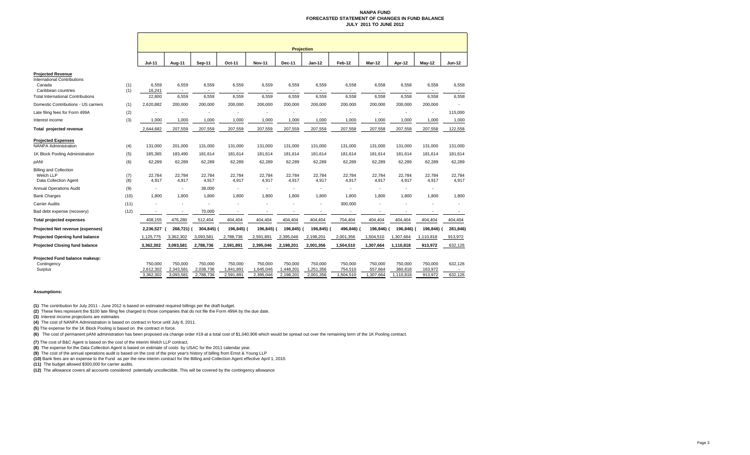### **NANPA FUND FORECASTED STATEMENT OF CHANGES IN FUND BALANCEJULY 2011 TO JUNE 2012**

|                                                                                                                                             |            |                           | <b>Projection</b>                |                      |                          |                      |                      |                      |                    |                          |                          |                    |                   |
|---------------------------------------------------------------------------------------------------------------------------------------------|------------|---------------------------|----------------------------------|----------------------|--------------------------|----------------------|----------------------|----------------------|--------------------|--------------------------|--------------------------|--------------------|-------------------|
|                                                                                                                                             |            | <b>Jul-11</b>             | Aug-11                           | Sep-11               | Oct-11                   | <b>Nov-11</b>        | Dec-11               | Jan-12               | Feb-12             | Mar-12                   | Apr-12                   | May-12             | <b>Jun-12</b>     |
| <b>Projected Revenue</b><br><b>International Contributions</b><br>Canada<br>Caribbean countries<br><b>Total International Contributions</b> | (1)<br>(1) | 6,559<br>16,241<br>22,800 | 6,559<br>$\blacksquare$<br>6,559 | 6,559<br>6,559       | 6,559<br>$\sim$<br>6,559 | 6,559<br>6,559       | 6,559<br>6,559       | 6,559<br>6,559       | 6,558<br>6,558     | 6,558<br>6,558           | 6,558<br>6,558           | 6,558<br>6,558     | 6,558<br>6,558    |
| Domestic Contributions - US carriers                                                                                                        | (1)        | 2,620,882                 | 200,000                          | 200,000              | 200,000                  | 200,000              | 200,000              | 200,000              | 200,000            | 200,000                  | 200,000                  | 200,000            |                   |
| Late filing fees for Form 499A                                                                                                              | (2)        |                           |                                  |                      |                          |                      |                      |                      |                    |                          |                          | ٠                  | 115,000           |
| Interest income                                                                                                                             | (3)        | 1,000                     | 1,000                            | 1,000                | 1,000                    | 1,000                | 1,000                | 1,000                | 1,000              | 1,000                    | 1,000                    | 1,000              | 1,000             |
| Total projected revenue                                                                                                                     |            | 2,644,682                 | 207,559                          | 207,559              | 207,559                  | 207,559              | 207,559              | 207,559              | 207,558            | 207,558                  | 207,558                  | 207,558            | 122,558           |
| <b>Projected Expenses</b><br><b>NANPA Administration</b>                                                                                    | (4)        | 131,000                   | 201,000                          | 131,000              | 131,000                  | 131,000              | 131,000              | 131,000              | 131,000            | 131,000                  | 131,000                  | 131,000            | 131,000           |
| 1K Block Pooling Administration                                                                                                             | (5)        | 185,365                   | 183,490                          | 181,614              | 181,614                  | 181,614              | 181,614              | 181,614              | 181,614            | 181,614                  | 181,614                  | 181,614            | 181,614           |
| pANI                                                                                                                                        | (6)        | 62,289                    | 62,289                           | 62,289               | 62,289                   | 62,289               | 62,289               | 62,289               | 62,289             | 62,289                   | 62,289                   | 62,289             | 62,289            |
| <b>Billing and Collection</b><br>Welch LLP<br><b>Data Collection Agent</b>                                                                  | (7)<br>(8) | 22,784<br>4,917           | 22,784<br>4,917                  | 22,784<br>4,917      | 22,784<br>4,917          | 22,784<br>4,917      | 22,784<br>4,917      | 22,784<br>4,917      | 22,784<br>4,917    | 22,784<br>4,917          | 22,784<br>4,917          | 22,784<br>4,917    | 22,784<br>4,917   |
| <b>Annual Operations Audit</b>                                                                                                              | (9)        | ٠                         | ٠                                | 38,000               | $\overline{\phantom{a}}$ | ٠                    | $\sim$               |                      | ٠                  | ٠                        |                          | ٠                  |                   |
| <b>Bank Charges</b>                                                                                                                         | (10)       | 1,800                     | 1.800                            | 1,800                | 1,800                    | 1,800                | 1,800                | 1.800                | 1,800              | 1,800                    | 1.800                    | 1,800              | 1,800             |
| <b>Carrier Audits</b>                                                                                                                       | (11)       |                           |                                  |                      |                          |                      |                      |                      | 300,000            |                          |                          |                    | ٠                 |
| Bad debt expense (recovery)                                                                                                                 | (12)       | ٠                         | $\blacksquare$                   | 70,000               | $\blacksquare$           | $\blacksquare$       |                      |                      | $\blacksquare$     | $\overline{\phantom{a}}$ | $\overline{\phantom{a}}$ |                    |                   |
| <b>Total projected expenses</b>                                                                                                             |            | 408,155                   | 476,280                          | 512,404              | 404,404                  | 404,404              | 404,404              | 404,404              | 704,404            | 404,404                  | 404,404                  | 404,404            | 404,404           |
| Projected Net revenue (expenses)                                                                                                            |            | 2,236,527                 | 268,721) (                       | 304,845) (           | 196,845)                 | 196,845)             | 196,845) (           | 196,845) (           | 496,846)           | 196,846) (               | 196,846)                 | 196,846)           | 281,846)          |
| Projected Opening fund balance                                                                                                              |            | 1,125,775                 | 3,362,302                        | 3,093,581            | 2,788,736                | 2,591,891            | 2,395,046            | 2,198,201            | 2,001,356          | 1,504,510                | 1,307,664                | 1,110,818          | 913,972           |
| <b>Projected Closing fund balance</b>                                                                                                       |            | 3,362,302                 | 3,093,581                        | 2,788,736            | 2,591,891                | 2,395,046            | 2,198,201            | 2,001,356            | 1,504,510          | 1,307,664                | 1,110,818                | 913,972            | 632,126           |
| Projected Fund balance makeup:                                                                                                              |            |                           |                                  |                      |                          |                      |                      |                      |                    |                          |                          |                    |                   |
| Contingency<br>Surplus                                                                                                                      |            | 750,000<br>2,612,302      | 750,000<br>2,343,581             | 750,000<br>2,038,736 | 750,000<br>1,841,891     | 750,000<br>1,645,046 | 750,000<br>1,448,201 | 750,000<br>1,251,356 | 750,000<br>754,510 | 750,000<br>557,664       | 750,000<br>360,818       | 750,000<br>163,972 | 632,126<br>$\sim$ |
|                                                                                                                                             |            | 3.362.302                 | 3,093,581                        | 2.788.736            | 2,591,891                | 2,395,046            | 2,198,201            | 2,001,356            | ,504,510           | ,307,664                 | 1,110,818                | 913.972            | 632,126           |

### **Assumptions:**

**(1)** The contribution for July 2011 - June 2012 is based on estimated required billings per the draft budget.

**(2)** These fees represent the \$100 late filing fee charged to those companies that do not file the Form 499A by the due date.

**(3)** Interest income projections are estimates

**(4)** The cost of NANPA Administration is based on contract in force until July 8, 2011.

**(5)** The expense for the 1K Block Pooling is based on the contract in force.

<sup>(6)</sup> The cost of permanent pANI administration has been proposed via change order #19 at a total cost of \$1,040,906 which would be spread out over the remaining term of the 1K Pooling contract.

**(7)** The cost of B&C Agent is based on the cost of the interim Welch LLP contract.

**(8)** The expense for the Data Collection Agent is based on estimate of costs by USAC for the 2011 calendar year.

**(9)** The cost of the annual operations audit is based on the cost of the prior year's history of billing from Ernst & Young LLP

**(10)** Bank fees are an expense to the Fund as per the new interim contract for the Billing and Collection Agent effective April 1, 2010.

**(11)** The budget allowed \$300,000 for carrier audits.

**(12)** The allowance covers all accounts considered potentially uncollectible. This will be covered by the contingency allowance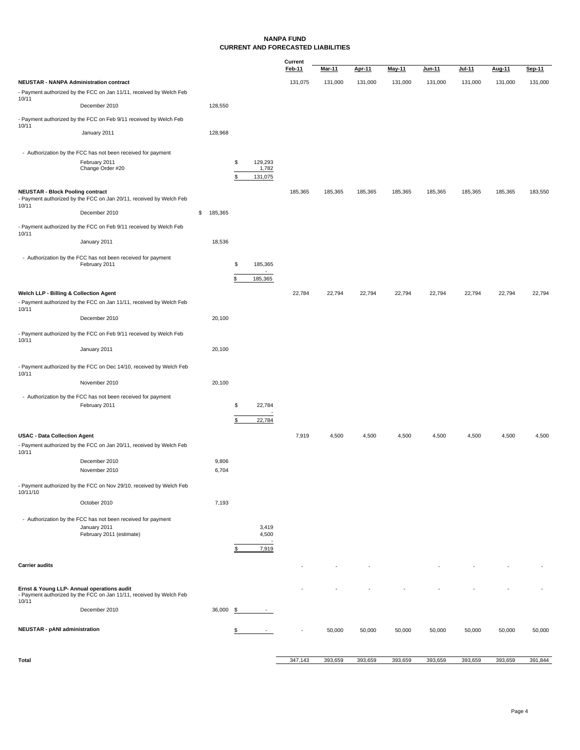### **NANPA FUND CURRENT AND FORECASTED LIABILITIES**

|                                                |                                                                               |               |                        | Current |               |         |         |               |          |         |         |
|------------------------------------------------|-------------------------------------------------------------------------------|---------------|------------------------|---------|---------------|---------|---------|---------------|----------|---------|---------|
|                                                |                                                                               |               |                        | Feb-11  | <u>Mar-11</u> | Apr-11  | May-11  | <u>Jun-11</u> | $Jul-11$ | Aug-11  | Sep-11  |
| <b>NEUSTAR - NANPA Administration contract</b> |                                                                               |               |                        | 131,075 | 131,000       | 131,000 | 131,000 | 131,000       | 131,000  | 131,000 | 131,000 |
| 10/11                                          | - Payment authorized by the FCC on Jan 11/11, received by Welch Feb           |               |                        |         |               |         |         |               |          |         |         |
|                                                | December 2010                                                                 | 128,550       |                        |         |               |         |         |               |          |         |         |
|                                                | - Payment authorized by the FCC on Feb 9/11 received by Welch Feb             |               |                        |         |               |         |         |               |          |         |         |
| 10/11                                          | January 2011                                                                  | 128,968       |                        |         |               |         |         |               |          |         |         |
|                                                |                                                                               |               |                        |         |               |         |         |               |          |         |         |
|                                                | - Authorization by the FCC has not been received for payment                  |               |                        |         |               |         |         |               |          |         |         |
|                                                | February 2011                                                                 |               | \$<br>129,293          |         |               |         |         |               |          |         |         |
|                                                | Change Order #20                                                              |               | 1,782<br>\$<br>131,075 |         |               |         |         |               |          |         |         |
|                                                |                                                                               |               |                        |         |               |         |         |               |          |         |         |
| <b>NEUSTAR - Block Pooling contract</b>        | - Payment authorized by the FCC on Jan 20/11, received by Welch Feb           |               |                        | 185,365 | 185,365       | 185,365 | 185,365 | 185,365       | 185,365  | 185,365 | 183,550 |
| 10/11                                          |                                                                               |               |                        |         |               |         |         |               |          |         |         |
|                                                | December 2010                                                                 | \$<br>185,365 |                        |         |               |         |         |               |          |         |         |
|                                                | - Payment authorized by the FCC on Feb 9/11 received by Welch Feb             |               |                        |         |               |         |         |               |          |         |         |
| 10/11                                          | January 2011                                                                  | 18,536        |                        |         |               |         |         |               |          |         |         |
|                                                |                                                                               |               |                        |         |               |         |         |               |          |         |         |
|                                                | - Authorization by the FCC has not been received for payment<br>February 2011 |               | \$<br>185,365          |         |               |         |         |               |          |         |         |
|                                                |                                                                               |               |                        |         |               |         |         |               |          |         |         |
|                                                |                                                                               |               | \$<br>185,365          |         |               |         |         |               |          |         |         |
| Welch LLP - Billing & Collection Agent         |                                                                               |               |                        | 22,784  | 22,794        | 22,794  | 22,794  | 22,794        | 22,794   | 22,794  | 22,794  |
|                                                | - Payment authorized by the FCC on Jan 11/11, received by Welch Feb           |               |                        |         |               |         |         |               |          |         |         |
| 10/11                                          | December 2010                                                                 | 20,100        |                        |         |               |         |         |               |          |         |         |
|                                                |                                                                               |               |                        |         |               |         |         |               |          |         |         |
| 10/11                                          | - Payment authorized by the FCC on Feb 9/11 received by Welch Feb             |               |                        |         |               |         |         |               |          |         |         |
|                                                | January 2011                                                                  | 20,100        |                        |         |               |         |         |               |          |         |         |
|                                                |                                                                               |               |                        |         |               |         |         |               |          |         |         |
| 10/11                                          | - Payment authorized by the FCC on Dec 14/10, received by Welch Feb           |               |                        |         |               |         |         |               |          |         |         |
|                                                | November 2010                                                                 | 20,100        |                        |         |               |         |         |               |          |         |         |
|                                                | - Authorization by the FCC has not been received for payment                  |               |                        |         |               |         |         |               |          |         |         |
|                                                | February 2011                                                                 |               | \$<br>22,784           |         |               |         |         |               |          |         |         |
|                                                |                                                                               |               | \$                     |         |               |         |         |               |          |         |         |
|                                                |                                                                               |               | 22,784                 |         |               |         |         |               |          |         |         |
| <b>USAC - Data Collection Agent</b>            |                                                                               |               |                        | 7,919   | 4,500         | 4,500   | 4,500   | 4,500         | 4,500    | 4,500   | 4,500   |
| 10/11                                          | - Payment authorized by the FCC on Jan 20/11, received by Welch Feb           |               |                        |         |               |         |         |               |          |         |         |
|                                                | December 2010                                                                 | 9,806         |                        |         |               |         |         |               |          |         |         |
|                                                | November 2010                                                                 | 6,704         |                        |         |               |         |         |               |          |         |         |
|                                                |                                                                               |               |                        |         |               |         |         |               |          |         |         |
| 10/11/10                                       | - Payment authorized by the FCC on Nov 29/10, received by Welch Feb           |               |                        |         |               |         |         |               |          |         |         |
|                                                | October 2010                                                                  | 7,193         |                        |         |               |         |         |               |          |         |         |
|                                                |                                                                               |               |                        |         |               |         |         |               |          |         |         |
|                                                | - Authorization by the FCC has not been received for payment<br>January 2011  |               | 3,419                  |         |               |         |         |               |          |         |         |
|                                                | February 2011 (estimate)                                                      |               | 4,500                  |         |               |         |         |               |          |         |         |
|                                                |                                                                               |               | 7,919<br>\$            |         |               |         |         |               |          |         |         |
|                                                |                                                                               |               |                        |         |               |         |         |               |          |         |         |
| <b>Carrier audits</b>                          |                                                                               |               |                        |         |               |         |         |               |          |         |         |
|                                                |                                                                               |               |                        |         |               |         |         |               |          |         |         |
| Ernst & Young LLP- Annual operations audit     | - Payment authorized by the FCC on Jan 11/11, received by Welch Feb           |               |                        |         |               |         |         |               |          |         |         |
| 10/11                                          |                                                                               |               |                        |         |               |         |         |               |          |         |         |
|                                                | December 2010                                                                 | 36,000 \$     |                        |         |               |         |         |               |          |         |         |
|                                                |                                                                               |               |                        |         |               |         |         |               |          |         |         |
| <b>NEUSTAR - pANI administration</b>           |                                                                               |               | \$                     |         | 50,000        | 50,000  | 50,000  | 50,000        | 50,000   | 50,000  | 50,000  |
|                                                |                                                                               |               |                        |         |               |         |         |               |          |         |         |
| Total                                          |                                                                               |               |                        | 347,143 | 393,659       | 393,659 | 393,659 | 393,659       | 393,659  | 393,659 | 391,844 |